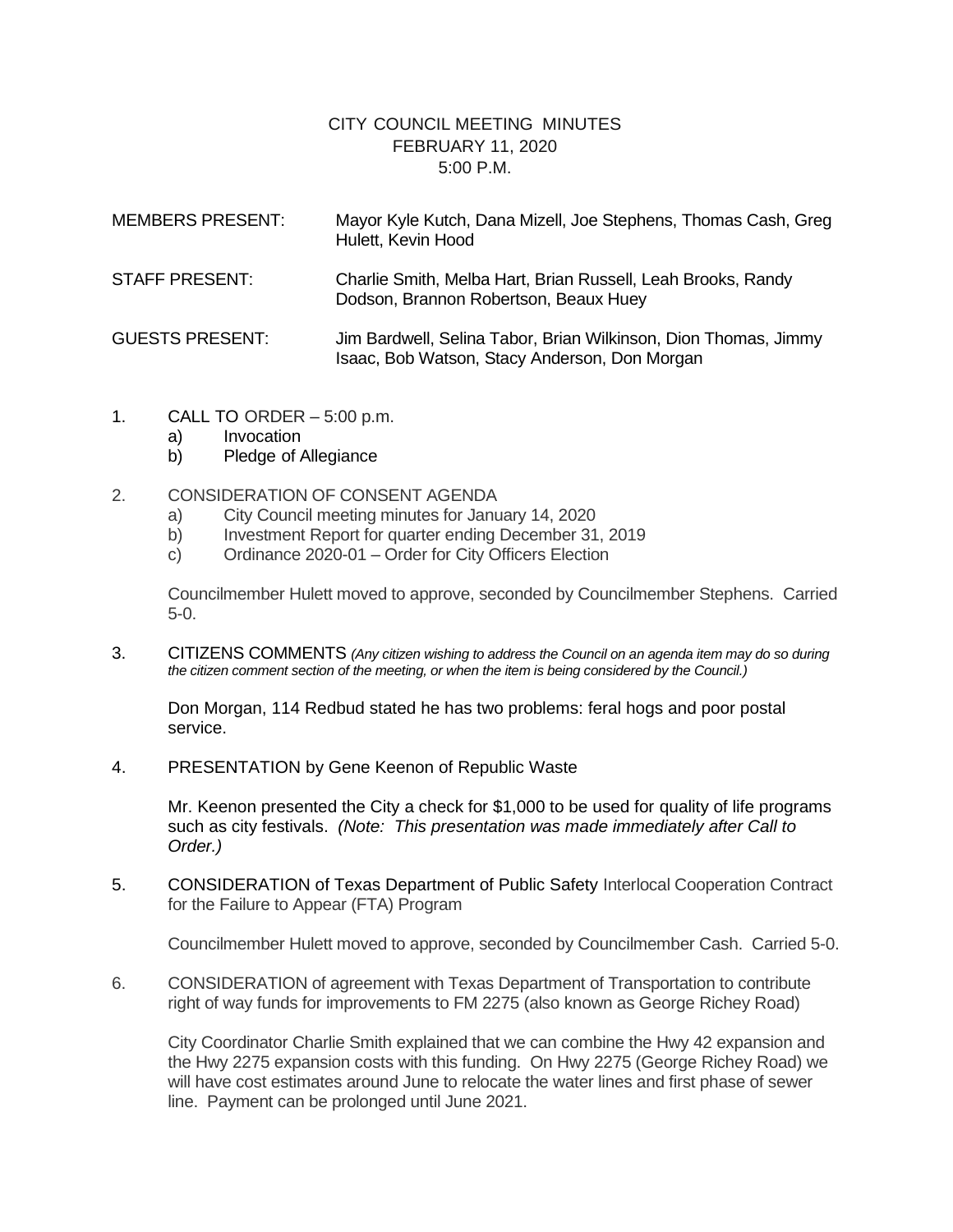## CITY COUNCIL MEETING MINUTES FEBRUARY 11, 2020 5:00 P.M.

| <b>MEMBERS PRESENT:</b> | Mayor Kyle Kutch, Dana Mizell, Joe Stephens, Thomas Cash, Greg<br>Hulett, Kevin Hood                             |
|-------------------------|------------------------------------------------------------------------------------------------------------------|
| <b>STAFF PRESENT:</b>   | Charlie Smith, Melba Hart, Brian Russell, Leah Brooks, Randy<br>Dodson, Brannon Robertson, Beaux Huey            |
| <b>GUESTS PRESENT:</b>  | Jim Bardwell, Selina Tabor, Brian Wilkinson, Dion Thomas, Jimmy<br>Isaac, Bob Watson, Stacy Anderson, Don Morgan |

- 1. CALL TO ORDER 5:00 p.m.
	- a) Invocation
	- b) Pledge of Allegiance
- 2. CONSIDERATION OF CONSENT AGENDA
	- a) City Council meeting minutes for January 14, 2020
	- b) Investment Report for quarter ending December 31, 2019
	- c) Ordinance 2020-01 Order for City Officers Election

Councilmember Hulett moved to approve, seconded by Councilmember Stephens. Carried 5-0.

3. CITIZENS COMMENTS *(Any citizen wishing to address the Council on an agenda item may do so during the citizen comment section of the meeting, or when the item is being considered by the Council.)*

Don Morgan, 114 Redbud stated he has two problems: feral hogs and poor postal service.

4. PRESENTATION by Gene Keenon of Republic Waste

Mr. Keenon presented the City a check for \$1,000 to be used for quality of life programs such as city festivals. *(Note: This presentation was made immediately after Call to Order.)*

5. CONSIDERATION of Texas Department of Public Safety Interlocal Cooperation Contract for the Failure to Appear (FTA) Program

Councilmember Hulett moved to approve, seconded by Councilmember Cash. Carried 5-0.

6. CONSIDERATION of agreement with Texas Department of Transportation to contribute right of way funds for improvements to FM 2275 (also known as George Richey Road)

City Coordinator Charlie Smith explained that we can combine the Hwy 42 expansion and the Hwy 2275 expansion costs with this funding. On Hwy 2275 (George Richey Road) we will have cost estimates around June to relocate the water lines and first phase of sewer line. Payment can be prolonged until June 2021.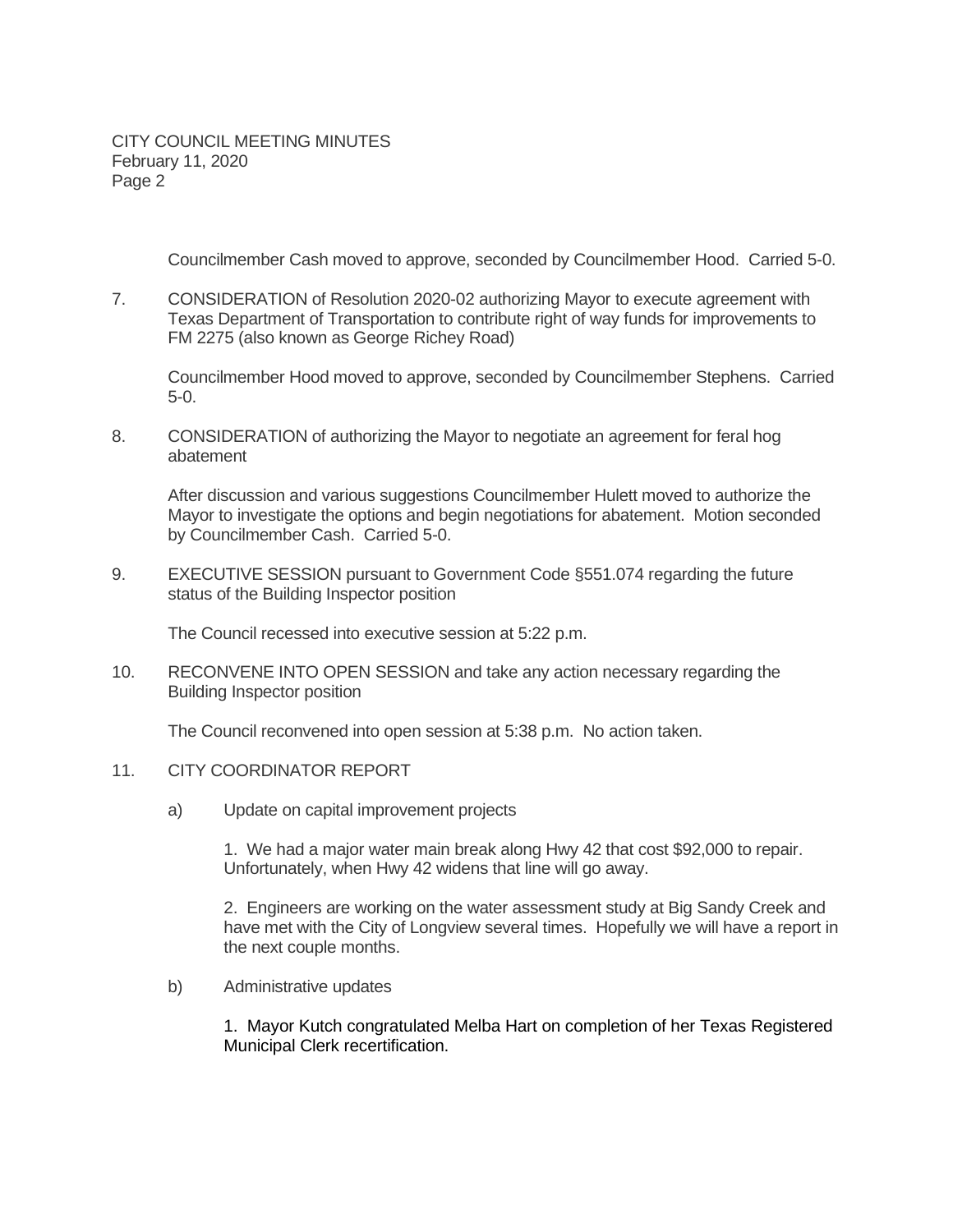CITY COUNCIL MEETING MINUTES February 11, 2020 Page 2

Councilmember Cash moved to approve, seconded by Councilmember Hood. Carried 5-0.

7. CONSIDERATION of Resolution 2020-02 authorizing Mayor to execute agreement with Texas Department of Transportation to contribute right of way funds for improvements to FM 2275 (also known as George Richey Road)

Councilmember Hood moved to approve, seconded by Councilmember Stephens. Carried 5-0.

8. CONSIDERATION of authorizing the Mayor to negotiate an agreement for feral hog abatement

After discussion and various suggestions Councilmember Hulett moved to authorize the Mayor to investigate the options and begin negotiations for abatement. Motion seconded by Councilmember Cash. Carried 5-0.

9. EXECUTIVE SESSION pursuant to Government Code §551.074 regarding the future status of the Building Inspector position

The Council recessed into executive session at 5:22 p.m.

10. RECONVENE INTO OPEN SESSION and take any action necessary regarding the Building Inspector position

The Council reconvened into open session at 5:38 p.m. No action taken.

## 11. CITY COORDINATOR REPORT

a) Update on capital improvement projects

1. We had a major water main break along Hwy 42 that cost \$92,000 to repair. Unfortunately, when Hwy 42 widens that line will go away.

2. Engineers are working on the water assessment study at Big Sandy Creek and have met with the City of Longview several times. Hopefully we will have a report in the next couple months.

b) Administrative updates

1. Mayor Kutch congratulated Melba Hart on completion of her Texas Registered Municipal Clerk recertification.